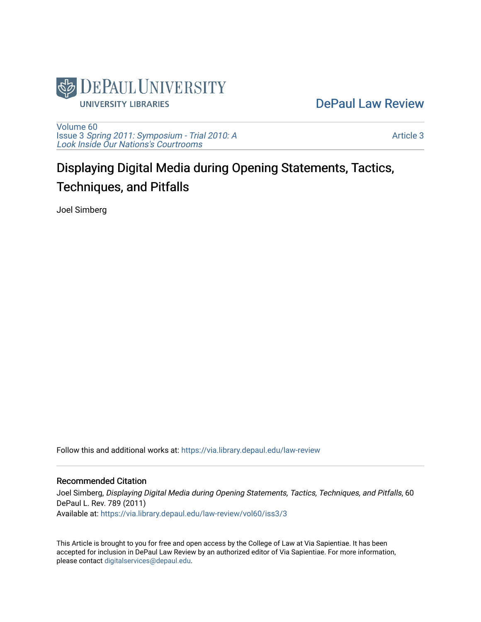

[DePaul Law Review](https://via.library.depaul.edu/law-review) 

[Volume 60](https://via.library.depaul.edu/law-review/vol60) Issue 3 [Spring 2011: Symposium - Trial 2010: A](https://via.library.depaul.edu/law-review/vol60/iss3)  [Look Inside Our Nations's Courtrooms](https://via.library.depaul.edu/law-review/vol60/iss3) 

[Article 3](https://via.library.depaul.edu/law-review/vol60/iss3/3) 

# Displaying Digital Media during Opening Statements, Tactics, Techniques, and Pitfalls

Joel Simberg

Follow this and additional works at: [https://via.library.depaul.edu/law-review](https://via.library.depaul.edu/law-review?utm_source=via.library.depaul.edu%2Flaw-review%2Fvol60%2Fiss3%2F3&utm_medium=PDF&utm_campaign=PDFCoverPages) 

# Recommended Citation

Joel Simberg, Displaying Digital Media during Opening Statements, Tactics, Techniques, and Pitfalls, 60 DePaul L. Rev. 789 (2011) Available at: [https://via.library.depaul.edu/law-review/vol60/iss3/3](https://via.library.depaul.edu/law-review/vol60/iss3/3?utm_source=via.library.depaul.edu%2Flaw-review%2Fvol60%2Fiss3%2F3&utm_medium=PDF&utm_campaign=PDFCoverPages) 

This Article is brought to you for free and open access by the College of Law at Via Sapientiae. It has been accepted for inclusion in DePaul Law Review by an authorized editor of Via Sapientiae. For more information, please contact [digitalservices@depaul.edu.](mailto:digitalservices@depaul.edu)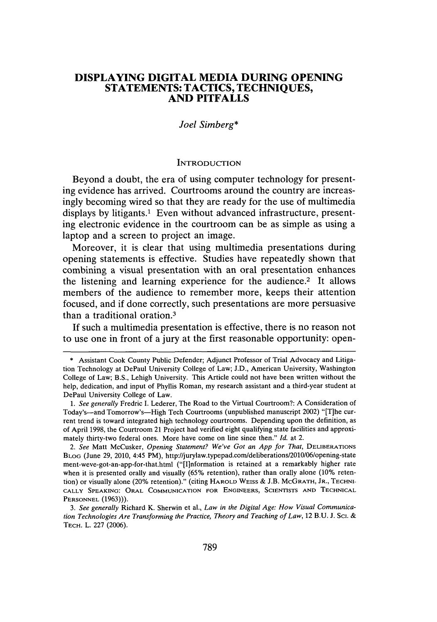# **DISPLAYING DIGITAL MEDIA DURING OPENING STATEMENTS: TACTICS, TECHNIQUES, AND PITFALLS**

#### *Joel Simberg\**

#### **INTRODUCTION**

Beyond a doubt, the era of using computer technology for presenting evidence has arrived. Courtrooms around the country are increasingly becoming wired so that they are ready for the use of multimedia displays **by** litigants.' Even without advanced infrastructure, presenting electronic evidence in the courtroom can be as simple as using a laptop and a screen to project an image.

Moreover, it is clear that using multimedia presentations during opening statements is effective. Studies have repeatedly shown that combining a visual presentation with an oral presentation enhances the listening and learning experience for the audience.<sup>2</sup> It allows members of the audience to remember more, keeps their attention focused, and if done correctly, such presentations are more persuasive than a traditional oration.3

**If** such a multimedia presentation is effective, there is no reason not to use one in front of a jury at the first reasonable opportunity: open-

**<sup>\*</sup>** Assistant Cook County Public Defender; Adjunct Professor of Trial Advocacy and Litigation Technology at DePaul University College of Law; **J.D.,** American University, Washington College of Law; B.S., Lehigh University. This Article could not have been written without the help, dedication, and input of Phyllis Roman, my research assistant and a third-year student at DePaul University College of Law.

*<sup>1.</sup> See generally* Fredric **I.** Lederer, The Road to the Virtual Courtroom?: **A** Consideration of Today's-and Tomorrow's-High Tech Courtrooms (unpublished manuscript 2002) "[T]he current trend is toward integrated high technology courtrooms. Depending upon the definition, as of April **1998,** the Courtroom 21 Project had verified eight qualifying state facilities and approximately thirty-two federal ones. More have come on line since then." *Id.* at 2.

*<sup>2.</sup> See* Matt McCusker, *Opening Statement? We've Got an App for That,* **DELIBERATIONS BLOG** (June **29,** 2010, 4:45 PM), http://jurylaw.typepad.com/deliberations/2010/06/opening-state ment-weve-got-an-app-for-that.html ("[I]nformation is retained at a remarkably higher rate when it is presented orally and visually **(65%** retention), rather than orally alone **(10%** retention) or visually alone (20% retention)." (citing **HAROLD WEIss & J.B. McGRATH, JR.,** TEcHNI-**CALLY SPEAKING:** ORAL **COMMUNICATION FOR ENGINEERS, SCIENTISTS AND TECHNICAL PERSONNEL (1963))).**

*<sup>3.</sup> See generally* Richard K. Sherwin et al., *Law in the Digital Age: How Visual Communication Technologies Are Transforming the Practice, Theory and Teaching of Law,* 12 **B.U. J. Sci. & TECH.** L. **227 (2006).**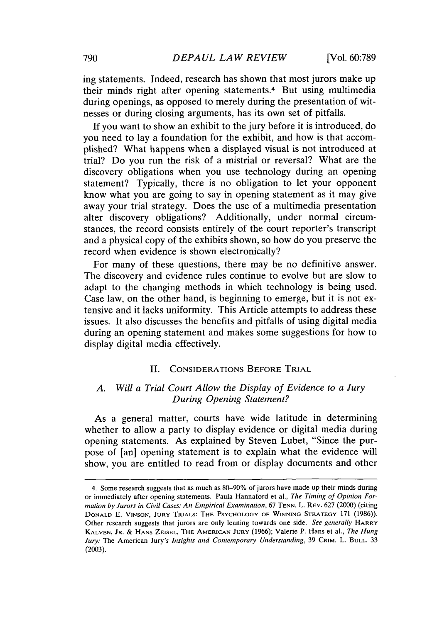ing statements. Indeed, research has shown that most jurors make up their minds right after opening statements.4 But using multimedia during openings, as opposed to merely during the presentation of witnesses or during closing arguments, has its own set of pitfalls.

**If** you want to show an exhibit to the jury before it is introduced, do you need to lay a foundation for the exhibit, and how is that accomplished? What happens when a displayed visual is not introduced at trial? Do you run the risk of a mistrial or reversal? What are the discovery obligations when you use technology during an opening statement? Typically, there is no obligation to let your opponent know what you are going to say in opening statement as it may give away your trial strategy. Does the use of a multimedia presentation alter discovery obligations? Additionally, under normal circumstances, the record consists entirely of the court reporter's transcript and a physical copy of the exhibits shown, so how do you preserve the record when evidence is shown electronically?

For many of these questions, there may be no definitive answer. The discovery and evidence rules continue to evolve but are slow to adapt to the changing methods in which technology is being used. Case law, on the other hand, is beginning to emerge, but it is not extensive and it lacks uniformity. This Article attempts to address these issues. It also discusses the benefits and pitfalls of using digital media during an opening statement and makes some suggestions for how to display digital media effectively.

# **II. CONSIDERATIONS BEFORE TRIAL**

# *A. Will a Trial Court Allow the Display of Evidence to a Jury During Opening Statement?*

As a general matter, courts have wide latitude in determining whether to allow a party to display evidence or digital media during opening statements. As explained **by** Steven Lubet, "Since the purpose of [an] opening statement is to explain what the evidence will show, you are entitled to read from or display documents and other

<sup>4.</sup> Some research suggests that as much as **80-90%** of jurors have made up their minds during or immediately after opening statements. Paula Hannaford et al., *The Timing of Opinion Formation by Jurors in Civil Cases: An Empirical Examination, 67* **TENN.** L. REv. **627** (2000) (citing **DONALD E. VINSON, JURY TRIALS: THE PSYCHOLOGY OF WINNING STRATEGY 171 (1986)).** Other research suggests that jurors are only leaning towards one side. *See generally* **HARRY KALVEN, JR. & HANS ZEISEL, THE AMERICAN JURY (1966);** Valerie P. Hans et al., *The Hung Jury:* The American Jury's *Insights and Contemporary Understanding,* **39 CRIM.** L. **BULL. 33 (2003).**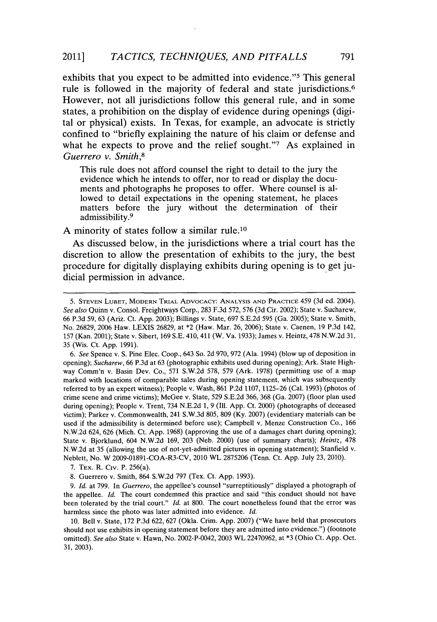exhibits that you expect to be admitted into evidence."5 This general rule is followed in the majority of federal and state jurisdictions.<sup>6</sup> However, not all jurisdictions follow this general rule, and in some states, a prohibition on the display of evidence during openings (digital or physical) exists. In Texas, for example, an advocate is strictly confined to "briefly explaining the nature of his claim or defense and what he expects to prove and the relief sought."7 As explained in *Guerrero v. Smith,8*

This rule does not afford counsel the right to detail to the jury the evidence which he intends to offer, nor to read or display the documents and photographs he proposes to offer. Where counsel is allowed to detail expectations in the opening statement, he places matters before the jury without the determination of their admissibility.<sup>9</sup>

**A** minority of states follow a similar rule.10

As discussed below, in the jurisdictions where a trial court has the discretion to allow the presentation of exhibits to the jury, the best procedure for digitally displaying exhibits during opening is to get judicial permission in advance.

**7.** TEx. R. Civ. P. 256(a).

*<sup>5.</sup>* **STEVEN LUBET, MODERN TRIAL ADVOCACY: ANALYSIS AND PRACrICE** 459 **(3d** ed. 2004). *See also* Quinn v. Consol. Freightways Corp., **283 F.3d 572, 576 (3d** Cir. 2002); State v. Sucharew, **66 P.3d 59, 63** (Ariz. Ct. **App. 2003);** Billings v. State, **697 S.E.2d 595** (Ga. **2005);** State v. Smith, No. **26829, 2006** Haw. **LEXIS 26829,** at \*2 (Haw. Mar. **26, 2006);** State v. Caenen, **19 P.3d** 142, **157** (Kan. 2001); State v. Sibert, **169 S.E.** 410, 411 (W. Va. **1933);** James v. Heintz, **478 N.W.2d 31, 35** (Wis. Ct. **App. 1991).**

*<sup>6.</sup> See* Spence v. **S.** Pine Elec. Coop., 643 So. **2d 970, 972** (Ala. 1994) (blow up of deposition in opening); *Sucharew,* **66 P.3d** at **63** (photographic exhibits used during opening); Ark. State Highway Comm'n v. Basin Dev. Co., **571 S.W.2d 578, 579** (Ark. **1978)** (permitting use of a map marked with locations of comparable sales during opening statement, which was subsequently referred to **by** an expert witness); People v. Wash, **861 P.2d 1107, 1125-26** (Cal. **1993)** (photos of crime scene and crime victims); McGee v. State, **529 S.E.2d 366, 368** (Ga. **2007)** (floor plan used during opening); People v. Trent, 734 **N.E.2d 1, 9 (Ill. App.** Ct. 2000) (photographs of deceased victim); Parker v. Commonwealth, 241 **S.W.3d 805, 809 (Ky. 2007)** (evidentiary materials can be used if the admissibility is determined before use); Campbell v. Menze Construction Co., **166 N.W.2d** 624, **626** (Mich. Ct. **App. 1968)** (approving the use of a damages chart during opening); State v. Bjorklund, 604 **N.W.2d 169, 203** (Neb. 2000) (use of summary charts); *Heintz, 478* **N.W.2d** at **35** (allowing the use of not-yet-admitted pictures in opening statement); Stanfield v. Neblett, No. W **2009-01891-COA-R3-CV,** 2010 WL **2875206** (Tenn. Ct. **App.** July **23,** 2010).

**<sup>8.</sup>** Guerrero v. Smith, 864 **S.W.2d 797** (Tex. Ct. **App. 1993).**

**<sup>9.</sup>** *Id.* at **799.** In *Guerrero,* the appellee's counsel "surreptitiously" displayed a photograph of the appellee. *Id.* The court condemned this practice and said "this conduct should not have been tolerated **by** the trial court." *Id.* at **800.** The court nonetheless found that the error was harmless since the photo was later admitted into evidence. Id.

**<sup>10.</sup>** Bell v. State, **172 P.3d 622, 627** (Okla. Crim. **App. 2007)** ("We have held that prosecutors should not use exhibits in opening statement before they are admitted into evidence.") (footnote omitted). *See also* State v. Hawn, No. 2002-P-0042, **2003** WL **22470962,** at **\*3** (Ohio Ct. **App.** Oct. **31, 2003).**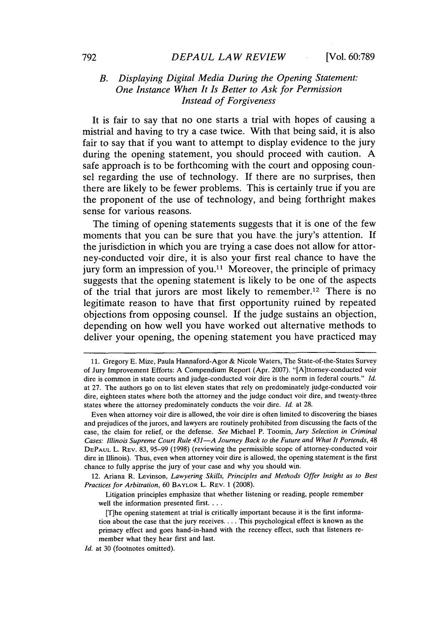# *B. Displaying Digital Media During the Opening Statement: One Instance When It Is Better to Ask for Permission Instead of Forgiveness*

It is fair to say that no one starts a trial with hopes of causing a mistrial and having to try a case twice. With that being said, it is also fair to say that if you want to attempt to display evidence to the jury during the opening statement, you should proceed with caution. **A** safe approach is to be forthcoming with the court and opposing counsel regarding the use of technology. **If** there are no surprises, then there are likely to be fewer problems. This is certainly true if you are the proponent of the use of technology, and being forthright makes sense for various reasons.

The timing of opening statements suggests that it is one of the few moments that you can be sure that you have. the jury's attention. **If** the jurisdiction in which you are trying a case does not allow for attorney-conducted voir dire, it is also your first real chance to have the jury form an impression of you.<sup>11</sup> Moreover, the principle of primacy suggests that the opening statement is likely to be one of the aspects of the trial that jurors are most likely to remember. 12 There is no legitimate reason to have that first opportunity ruined **by** repeated objections from opposing counsel. **If** the judge sustains an objection, depending on how well you have worked out alternative methods to deliver your opening, the opening statement you have practiced may

12. Ariana R. Levinson, *Lawyering Skills, Principles and Methods Offer Insight as to Best Practices for Arbitration,* **60 BAYLOR** L. **REV. 1 (2008).**

Litigation principles emphasize that whether listening or reading, people remember well the information presented first. **...**

**<sup>11.</sup>** Gregory **E.** Mize, Paula Hannaford-Agor **&** Nicole Waters, The State-of-the-States Survey of Jury Improvement Efforts: **A** Compendium Report (Apr. **2007).** "[A]ttorney-conducted voir dire is common in state courts and judge-conducted voir dire is the norm in federal courts." *Id.* at **27.** The authors go on to list eleven states that rely on predominately judge-conducted voir dire, eighteen states where both the attorney and the judge conduct voir dire, and twenty-three states where the attorney predominately conducts the voir dire. *Id.* at **28.**

Even when attorney voir dire is allowed, the voir dire is often limited to discovering the biases and prejudices of the jurors, and lawyers are routinely prohibited from discussing the facts of the case, the claim for relief, or the defense. *See* Michael P. Toomin, *Jury Selection in Criminal Cases: Illinois Supreme Court Rule 431-A Journey Back to the Future and What It Portends, 48* **DEPAUL** L. **REV. 83, 95-99 (1998)** (reviewing the permissible scope of attorney-conducted voir dire in Illinois). Thus, even when attorney voir dire is allowed, the opening statement is the first chance to fully apprise the jury of your case and why you should win.

<sup>[</sup>Tihe opening statement at trial is critically important because it is the first information about the case that the jury receives. . . **.** This psychological effect is known as the primacy effect and goes hand-in-hand with the recency effect, such that listeners remember what they hear first and last.

*Id.* at **30** (footnotes omitted).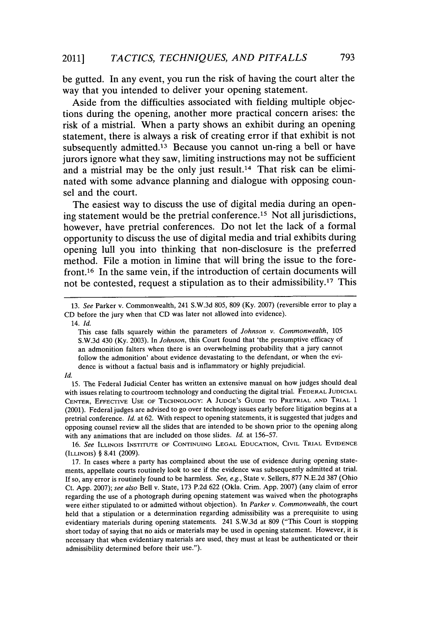be gutted. In any event, you run the risk of having the court alter the way that you intended to deliver your opening statement.

Aside from the difficulties associated with fielding multiple objections during the opening, another more practical concern arises: the risk of a mistrial. When a party shows an exhibit during an opening statement, there is always a risk of creating error if that exhibit is not subsequently admitted.<sup>13</sup> Because you cannot un-ring a bell or have jurors ignore what they saw, limiting instructions may not be sufficient and a mistrial may be the only just result.<sup>14</sup> That risk can be eliminated with some advance planning and dialogue with opposing counsel and the court.

The easiest way to discuss the use of digital media during an opening statement would be the pretrial conference.15 Not all jurisdictions, however, have pretrial conferences. Do not let the lack of a formal opportunity to discuss the use of digital media and trial exhibits during opening lull you into thinking that non-disclosure is the preferred method. File a motion in limine that will bring the issue to the forefront.16 In the same vein, if the introduction of certain documents will not be contested, request a stipulation as to their admissibility.17 This

**15.** The Federal Judicial Center has written an extensive manual on how judges should deal with issues relating to courtroom technology and conducting the digital trial. **FEDERAL JUDICIAL CENTER, EFFECTIVE USE OF TECHNOLOGY: A JUDGE'S GUIDE TO PRETRIAL AND TRIAL 1** (2001). Federal judges are advised to go over technology issues early before litigation begins at a pretrial conference. *Id.* at **62.** With respect to opening statements, it is suggested that judges and opposing counsel review all the slides that are intended to be shown prior to the **opening** along with any animations that are included on those slides. *Id.* at **156-57.**

*16. See* **ILLINOIS INSTITUTE OF CONTINUING LEGAL EDUCATION, CIVIL TRIAL EVIDENCE (ILLINOIS)** *§* 8.41 **(2009).**

**17.** In **cases where** a party has complained about the use of evidence during opening statements, appellate courts routinely look to see if the evidence was subsequently admitted at trial. **If** so, any error is routinely found to be harmless. *See, e.g.,* State v. Sellers, **877 N.E.2d 387** (Ohio Ct. **App. 2007);** *see also* Bell v. State, **173 P.2d 622** (Okla. Crim. **App. 2007)** (any claim of error regarding the use of a photograph during opening statement was waived when the photographs were either stipulated to or admitted without objection). In *Parker v. Commonwealth,* the court held that a stipulation or a determination regarding admissibility was a prerequisite to using evidentiary materials during opening statements. 241 **S.W.3d** at **809** ("This Court is stopping short today of saying that no aids or materials may be used in opening statement. However, it is necessary that when evidentiary materials are used, they must at least be authenticated or their admissibility determined before their use.").

*<sup>13.</sup> See* Parker v. Commonwealth, 241 **S.W.3d 805, 809 (Ky. 2007)** (reversible error to play a **CD** before the jury when that **CD** was later not allowed into evidence).

<sup>14.</sup> *Id.*

This case falls squarely within the parameters of *Johnson v. Commonwealth, 105* **S.W.3d** 430 **(Ky. 2003).** In *Johnson,* this Court found that 'the presumptive efficacy of an admonition falters when there is an overwhelming probability that a jury cannot follow the admonition' about evidence devastating to the defendant, or when the evidence is without a factual basis and is inflammatory or **highly** prejudicial.

*Id.*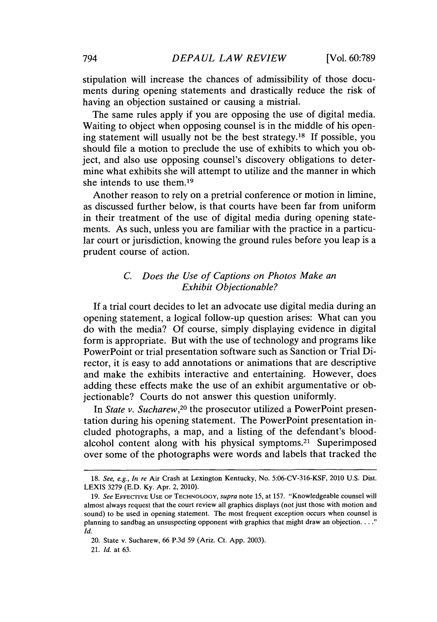stipulation will increase the chances of admissibility of those documents during opening statements and drastically reduce the risk of having an objection sustained or causing a mistrial.

The same rules apply if you are opposing the use of digital media. Waiting to object when opposing counsel is in the middle of his opening statement will usually not be the best strategy.<sup>18</sup> If possible, you should file a motion to preclude the use of exhibits to which you object, and also use opposing counsel's discovery obligations to determine what exhibits she will attempt to utilize and the manner in which she intends to use them.19

Another reason to rely on a pretrial conference or motion in limine, as discussed further below, is that courts have been far from uniform in their treatment of the use of digital media during opening statements. As such, unless you are familiar with the practice in a particular court or jurisdiction, knowing the ground rules before you leap is a prudent course of action.

# *C. Does the Use of Captions on Photos Make an Exhibit Objectionable?*

**If** a trial court decides to let an advocate use digital media during an opening statement, a logical follow-up question arises: What can you do with the media? **Of** course, simply displaying evidence in digital form is appropriate. But with the use of technology and programs like PowerPoint or trial presentation software such as Sanction or Trial Director, it is easy to add annotations or animations that are descriptive and make the exhibits interactive and entertaining. However, does adding these effects make the use of an exhibit argumentative or objectionable? Courts do not answer this question uniformly.

*In State v. Sucharew,20* the prosecutor utilized a PowerPoint presentation during his opening statement. The PowerPoint presentation included photographs, a map, and a listing of the defendant's bloodalcohol content along with his physical symptoms.<sup>21</sup> Superimposed over some of the photographs were words and labels that tracked the

*<sup>18.</sup> See, e.g., In re* **Air Crash at Lexington Kentucky, No. 5:06-CV-316-KSF,** 2010 **U.S. Dist. LEXIS 3279 (E.D. Ky. Apr. 2, 2010).**

*<sup>19.</sup> See* **EFFECTIVE USE** OF **TECHNOLOGY,** *supra note 15,* **at 157. "Knowledgeable counsel will** almost always request that the court review all graphics displays (not just those with motion and sound) to be used in opening statement. The most frequent exception occurs when counsel is planning to sandbag an unsuspecting opponent with graphics that might draw an objection. **. .** *Id.*

<sup>20.</sup> State v. Sucharew, **66 P.3d 59** (Ariz. Ct. **App. 2003).**

*<sup>21.</sup> Id.* **at 63.**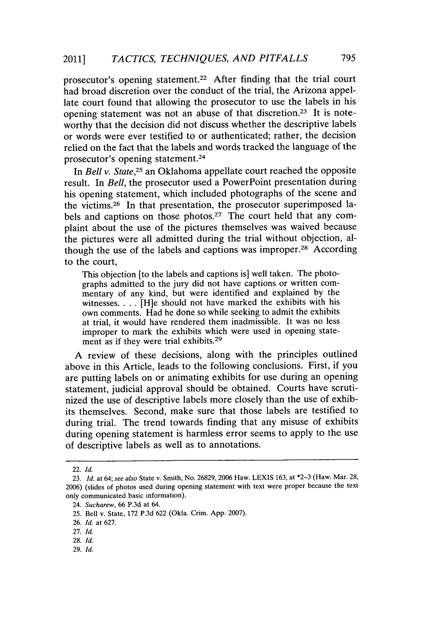prosecutor's opening statement.<sup>22</sup> After finding that the trial court had broad discretion over the conduct of the trial, the Arizona appellate court found that allowing the prosecutor to use the labels in his opening statement was not an abuse of that discretion.23 It is noteworthy that the decision did not discuss whether the descriptive labels or words were ever testified to or authenticated; rather, the decision relied on the fact that the labels and words tracked the language of the prosecutor's opening statement.<sup>24</sup>

In *Bell v. State,25* an Oklahoma appellate court reached the opposite result. In *Bell,* the prosecutor used a PowerPoint presentation during his opening statement, which included photographs of the scene and the victims.<sup>26</sup> In that presentation, the prosecutor superimposed labels and captions on those photos.<sup>27</sup> The court held that any complaint about the use of the pictures themselves was waived because the pictures were all admitted during the trial without objection, although the use of the labels and captions was improper.28 According to the court,

This objection [to the labels and captions is] well taken. The photographs admitted to the jury did not have captions or written **com**mentary of any kind, but were identified and explained **by** the witnesses. . . **.** [H]e should not have marked the exhibits with his own comments. Had he done so while seeking to admit the exhibits at trial, it would have rendered them inadmissible. It was no less improper to mark the exhibits which were used in opening statement as if they were trial exhibits.<sup>29</sup>

**A** review of these decisions, along with the principles outlined above in this Article, leads to the following conclusions. First, if you are putting labels on or animating exhibits for use during an opening statement, judicial approval should be obtained. Courts have scrutinized the use of descriptive labels more closely than the use of exhibits themselves. Second, make sure that those labels are testified to during trial. The trend towards finding that any misuse of exhibits during opening statement is harmless error seems to apply to the use of descriptive labels as well as to annotations.

<sup>22.</sup> *Id.*

**<sup>23.</sup>** *Id.* at 64; see also State v. Smith, No. **26829, 2006** Haw. **LEXIS 163,** at **\*2-3** (Haw. Mar. **28, 2006)** (slides of photos used during opening statement with text were proper because the text only communicated basic information).

<sup>24.</sup> *Sucharew,* **66 P.3d** at 64.

**<sup>25.</sup>** Bell v. State, **172 P.3d 622** (Okla. Crim. **App. 2007).**

**<sup>26.</sup>** *Id.* at **627.**

**<sup>27.</sup>** *Id.*

**<sup>28.</sup>** *Id.*

**<sup>29.</sup>** *Id.*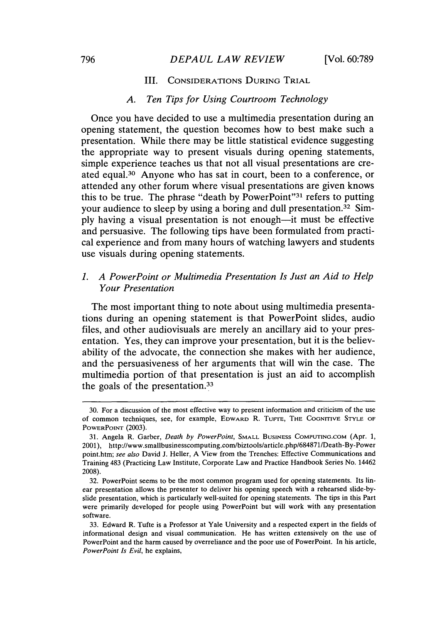# *DEPAUL LAW REVIEW* **796** [Vol. **60:789**

## III. CONSIDERATIONS DURING TRIAL

#### *A. Ten Tips for Using Courtroom Technology*

Once you have decided to use a multimedia presentation during an opening statement, the question becomes how to best make such a presentation. While there may be little statistical evidence suggesting the appropriate way to present visuals during opening statements, simple experience teaches us that not all visual presentations are created equal.30 Anyone who has sat in court, been to a conference, or attended any other forum where visual presentations are given knows this to be true. The phrase "death **by** PowerPoint"31 refers to putting your audience to sleep by using a boring and dull presentation.<sup>32</sup> Sim**ply** having a visual presentation is not enough-it must be effective and persuasive. The following tips have been formulated from practical experience and from many hours of watching lawyers and students use visuals during opening statements.

# *1. A PowerPoint or Multimedia Presentation Is Just an Aid to Help Your Presentation*

The most important thing to note about using multimedia presentations during an opening statement is that PowerPoint slides, audio files, and other audiovisuals are merely an ancillary aid to your presentation. Yes, they can improve your presentation, but it is the believability of the advocate, the connection she makes with her audience, and the persuasiveness of her arguments that will win the case. The multimedia portion of that presentation is just an aid to accomplish the goals of the presentation.<sup>33</sup>

**<sup>30.</sup>** For a discussion of the most effective way to present information and criticism of the use of common techniques, see, for example, **EDWARD** R. Tu-rE, THE COGNITlVE **STYLE OF** POWERPoINr **(2003).**

**<sup>31.</sup>** Angela R. Garber, *Death by PowerPoint,* **SMALL BusiNEss COMPUTING.COM** (Apr. **1,** 2001), http://www.smallbusinesscomputing.com/biztools/article.php/684871/Death-By-Power point.htm; *see also* David **J.** Heller, **A** View from the Trenches: Effective Communications and Training 483 (Practicing Law Institute, Corporate Law and Practice Handbook Series No. 14462 **2008).**

**<sup>32.</sup>** PowerPoint seems to be the most common program used for opening statements. Its linear presentation allows the presenter to deliver his opening speech with a rehearsed slide-byslide presentation, which is particularly well-suited for opening statements. The tips in this Part were primarily developed for people using PowerPoint but will work with any presentation software.

**<sup>33.</sup>** Edward R. Tufte is a Professor at Yale University and a respected expert in the fields of informational design and visual communication. He has written extensively on the use of PowerPoint and the harm caused **by** overreliance and the poor use of PowerPoint. In his article, *PowerPoint Is Evil,* he explains,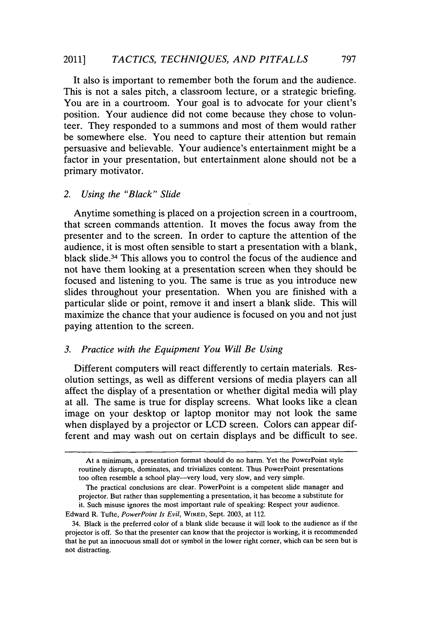It also is important to remember both the forum and the audience. This is not a sales pitch, a classroom lecture, or a strategic briefing. You are in a courtroom. Your goal is to advocate for your client's position. Your audience did not come because they chose to volunteer. They responded to a summons and most of them would rather be somewhere else. You need to capture their attention but remain persuasive and believable. Your audience's entertainment might be a factor in your presentation, but entertainment alone should not be a primary motivator.

## *2. Using the "Black" Slide*

Anytime something is placed on a projection screen in a courtroom, that screen commands attention. It moves the focus away from the presenter and to the screen. In order to capture the attention of the audience, it is most often sensible to start a presentation with a blank, black slide.34 This allows you to control the focus of the audience and not have them looking at a presentation screen when they should be focused and listening to you. The same is true as you introduce new slides throughout your presentation. When you are finished with a particular slide or point, remove it and insert a blank slide. This will maximize the chance that your audience is focused on you and not just paying attention to the screen.

# *3. Practice with the Equipment You Will Be Using*

Different computers will react differently to certain materials. Resolution settings, as well as different versions of media players can all affect the display of a presentation or whether digital media will play at all. The same is true for display screens. What looks like a clean image on your desktop or laptop monitor may not look the same when displayed **by** a projector or **LCD** screen. Colors can appear different and may wash out on certain displays and be difficult to see.

At a minimum, a presentation format should do no harm. Yet the PowerPoint style routinely disrupts, dominates, and trivializes content. Thus PowerPoint presentations too often resemble a school play--very loud, very slow, and very simple.

The practical conclusions are clear. PowerPoint is a competent slide manager and projector. But rather than supplementing a presentation, it has become a substitute for it. Such misuse ignores the most important rule of speaking: Respect your audience.

Edward R. Tufte, *PowerPoint Is Evil,* **WIRED,** Sept. **2003,** at 112.

<sup>34.</sup> Black is the preferred color of a blank slide because it will look to the audience as if the projector is off. So that the presenter can know that the projector is working, it is recommended that he put an innocuous small dot or symbol in the lower right corner, which can be seen but is not distracting.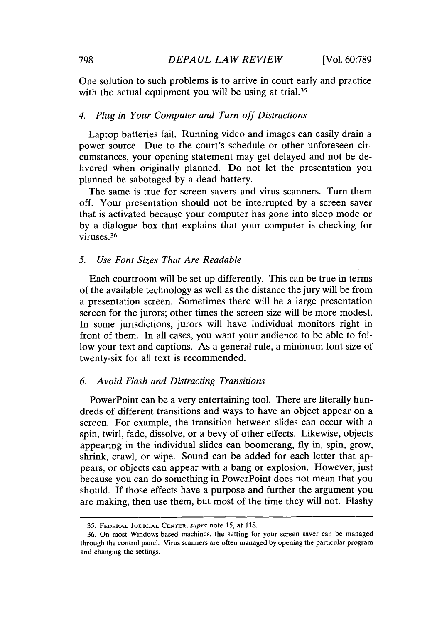One solution to such problems is to arrive in court early and practice with the actual equipment you will be using at trial.<sup>35</sup>

#### *4. Plug in Your Computer and Turn off Distractions*

Laptop batteries fail. Running video and images can easily drain a power source. Due to the court's schedule or other unforeseen circumstances, your opening statement may get delayed and not be delivered when originally planned. Do not let the presentation you planned be sabotaged **by** a dead battery.

The same is true for screen savers and virus scanners. Turn them off. Your presentation should not be interrupted **by** a screen saver that is activated because your computer has gone into sleep mode or **by** a dialogue box that explains that your computer is checking for viruses.<sup>36</sup>

#### *5. Use Font Sizes That Are Readable*

Each courtroom will be set up differently. This can be true in terms of the available technology as well as the distance the jury will be from a presentation screen. Sometimes there will be a large presentation screen for the jurors; other times the screen size will **be** more modest. In some jurisdictions, jurors will have individual monitors right in front of them. In all cases, you want your audience to be able to follow your text and captions. As a general rule, a minimum font size of twenty-six for all text is recommended.

#### *6. Avoid Flash and Distracting Transitions*

PowerPoint can be a very entertaining tool. There are literally hundreds of different transitions and ways to have an object appear on a screen. For example, the transition between slides can occur with a spin, twirl, fade, dissolve, or a bevy of other effects. Likewise, objects appearing in the individual slides can boomerang, **fly** in, spin, grow, shrink, crawl, or wipe. Sound can be added for each letter that appears, or objects can appear with a bang or explosion. However, just because you can do something in PowerPoint does not mean that you should. **If** those effects have a purpose and further the argument you are making, then use them, but most of the time they will not. Flashy

**<sup>35.</sup> FEDERAL JUDICIAL CENTER,** *supra note* **15, at 118.**

**<sup>36.</sup> On most Windows-based machines, the setting for your screen saver can be managed through the control panel. Virus scanners are often managed by opening the particular program and changing the settings.**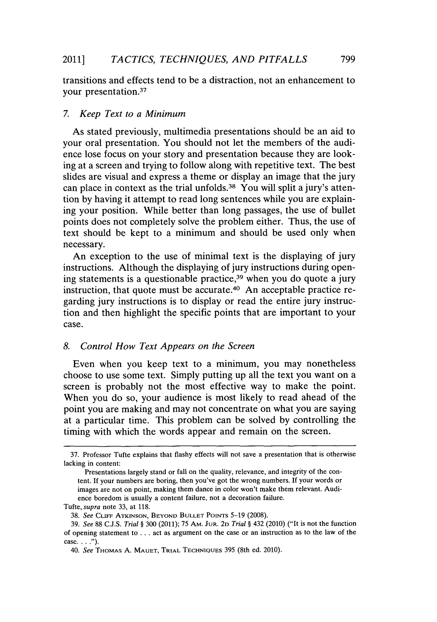transitions and effects tend to be a distraction, not an enhancement to your presentation.<sup>37</sup>

## *7. Keep Text to a Minimum*

As stated previously, multimedia presentations should be an aid to your oral presentation. You should not let the members of the audience lose focus on your story and presentation because they are looking at a screen and trying to follow along with repetitive text. The best slides are visual and express a theme or display an image that the jury can place in context as the trial unfolds.<sup>38</sup> You will split a jury's attention **by** having it attempt to read long sentences while you are explaining your position. While better than long passages, the use of bullet points does not completely solve the problem either. Thus, the use of text should be kept to a minimum and should be used only when necessary.

An exception to the use of minimal text is the displaying of jury instructions. Although the displaying of jury instructions during opening statements is a questionable practice, $39$  when you do quote a jury instruction, that quote must be accurate.<sup>40</sup> An acceptable practice regarding jury instructions is to display or read the entire jury instruction and then highlight the specific points that are important to your case.

## *8. Control How Text Appears on the Screen*

Even when you keep text to a minimum, you may nonetheless choose to use some text. Simply putting up all the text you want on a screen is probably not the most effective way to make the point. When you do so, your audience is most likely to read ahead of the point you are making and may not concentrate on what you are saying at a particular time. This problem can be solved **by** controlling the timing with which the words appear and remain on the screen.

**<sup>37.</sup>** Professor Tufte explains that flashy effects will not save a presentation that is otherwise lacking in content:

Presentations largely stand or fall on the quality, relevance, and integrity **of** the content. **If** your numbers are boring, then you've got the wrong numbers. If your words or images are not on point, making them dance in color won't make them relevant. Audience boredom is usually a content failure, not a decoration failure.

Tufte, *supra* note **33,** at **118.**

**<sup>38.</sup>** *See* **CLIFF ATKINSON, BEYOND BULLET** PoiNTs **5-19 (2008).**

*<sup>39.</sup> See* **88 C.J.S.** *Trial §* **300** (2011); **75** AM. **JUR. 2D** *Trial §* 432 (2010) ("It is not the function of opening statement to **...** act as argument on the case or an instruction as to the law of the case **.. . ).**

*<sup>40.</sup> See* **THOMAs A. MAUET, TRIAL TECHNIQUEs 395** (8th ed. 2010).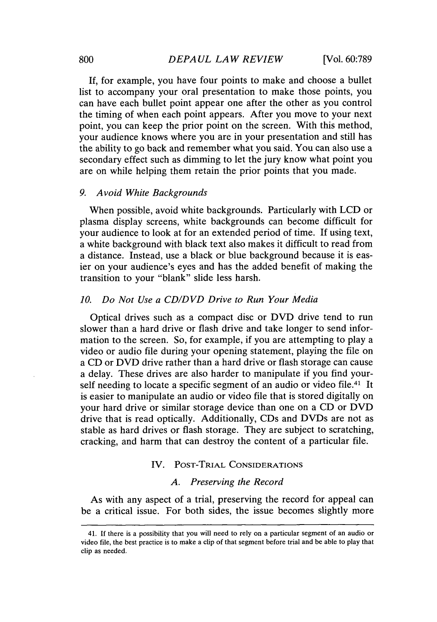**If,** for example, you have four points to make and choose a bullet list to accompany your oral presentation to make those points, you can have each bullet point appear one after the other as you control the timing of when each point appears. After you move to your next point, you can keep the prior point on the screen. With this method, your audience knows where you are in your presentation and still has the ability to go back and remember what you said. You can also use a secondary effect such as dimming to let the jury know what point you are on while helping them retain the prior points that you made.

#### *9. Avoid White Backgrounds*

When possible, avoid white backgrounds. Particularly with **LCD** or plasma display screens, white backgrounds can become difficult for your audience to look at for an extended period of time. If using text, a white background with black text also makes it difficult to read from a distance. Instead, use a black or blue background because it is easier on your audience's eyes and has the added benefit of making the transition to your "blank" slide less harsh.

## *10. Do Not Use a CD/DVD Drive to Run Your Media*

Optical drives such as a compact disc or DVD drive tend to run slower than a hard drive or flash drive and take longer to send information to the screen. So, for example, if you are attempting to play a video or audio file during your opening statement, playing the file on a **CD** or DVD drive rather than a hard drive or flash storage can cause a delay. These drives are also harder to manipulate if you find yourself needing to locate a specific segment of an audio or video file.<sup>41</sup> It is easier to manipulate an audio or video file that is stored digitally on your hard drive or similar storage device than one on a **CD** or DVD drive that is read optically. Additionally, CDs and DVDs are not as stable as hard drives or flash storage. They are subject to scratching, cracking, and harm that can destroy the content of a particular file.

## IV. POST-TRIAL CONSIDERATIONS

## *A. Preserving the Record*

As with any aspect of a trial, preserving the record for appeal can be a critical issue. For both sides, the issue becomes slightly more

**<sup>41.</sup> If there is a possibility that you will need to rely on a particular segment of an audio or video file, the best practice is to make a clip of that segment before trial and be able to play that clip as needed.**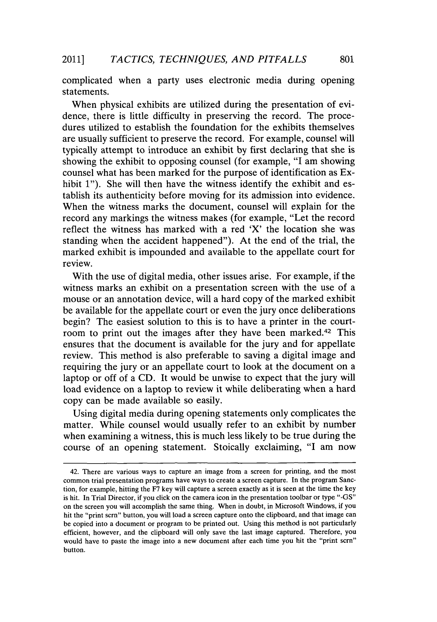complicated when a party uses electronic media during opening statements.

When physical exhibits are utilized during the presentation of evidence, there is little difficulty in preserving the record. The procedures utilized to establish the foundation for the exhibits themselves are usually sufficient to preserve the record. For example, counsel will typically attempt to introduce an exhibit **by** first declaring that she is showing the exhibit to opposing counsel (for example, "I am showing counsel what has been marked for the purpose of identification as Exhibit **1").** She will then have the witness identify the exhibit and establish its authenticity before moving for its admission into evidence. When the witness marks the document, counsel will explain for the record any markings the witness makes (for example, "Let the record reflect the witness has marked with a red 'X' the location she was standing when the accident happened"). At the end of the trial, the marked exhibit is impounded and available to the appellate court for review.

With the use of digital media, other issues arise. For example, if the witness marks an exhibit on a presentation screen with the use of a mouse or an annotation device, will a hard copy of the marked exhibit be available for the appellate court or even the jury once deliberations begin? The easiest solution to this is to have a printer in the courtroom to print out the images after they have been marked.<sup>42</sup> This ensures that the document is available for the jury and for appellate review. This method is also preferable to saving a digital image and requiring the jury or an appellate court to look at the document on a laptop or off of a **CD.** It would be unwise to expect that the jury will load evidence on a laptop to review it while deliberating when a hard copy can be made available so easily.

Using digital media during opening statements only complicates the matter. While counsel would usually refer to an exhibit **by** number when examining a witness, this is much less likely to be true during the course of an opening statement. Stoically exclaiming, **"I** am now

<sup>42.</sup> There are various ways to capture an image from a screen for printing, and the most common trial presentation programs have ways to create a screen capture. In the program Sanction, for example, hitting the **F7** key will capture a screen exactly as it is seen at the time the key is hit. In Trial Director, if you click on the camera icon in the presentation toolbar or type **"-GS"** on the screen you will accomplish the same thing. When in doubt, in Microsoft Windows, if you hit the "print scrn" button, you will load a screen capture onto the clipboard, and that image can be copied into a document or program to be printed out. Using this method is not particularly efficient, however, and the clipboard will only save the last image captured. Therefore, you would have to paste the image into a new document after each time you hit the "print scrn" button.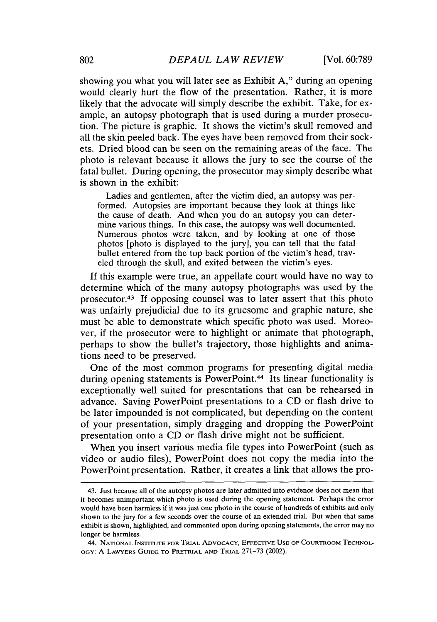showing you what you will later see as Exhibit **A,"** during an opening would clearly hurt the flow of the presentation. Rather, it is more likely that the advocate will simply describe the exhibit. Take, for example, an autopsy photograph that is used during a murder prosecution. The picture is graphic. It shows the victim's skull removed and all the skin peeled back. The eyes have been removed from their sockets. Dried blood can be seen on the remaining areas of the face. The photo is relevant because it allows the jury to see the course of the fatal bullet. During opening, the prosecutor may simply describe what is shown in the exhibit:

Ladies and gentlemen, after the victim died, an autopsy was performed. Autopsies are important because they look at things like the cause of death. And when you do an autopsy you can determine various things. In this case, the autopsy was well documented. Numerous photos were taken, and **by** looking at one of those photos [photo is displayed to the jury], you can tell that the fatal bullet entered from the top back portion of the victim's head, traveled through the skull, and exited between the victim's eyes.

**If** this example were true, an appellate court would have no way to determine which of the many autopsy photographs was used **by** the prosecutor.<sup>43</sup> If opposing counsel was to later assert that this photo was unfairly prejudicial due to its gruesome and graphic nature, she must be able to demonstrate which specific photo was used. Moreover, if the prosecutor were to highlight or animate that photograph, perhaps to show the bullet's trajectory, those highlights and animations need to be preserved.

One of the most common programs for presenting digital media during opening statements is PowerPoint.<sup>44</sup> Its linear functionality is exceptionally well suited for presentations that can be rehearsed in advance. Saving PowerPoint presentations to a **CD** or flash drive to be later impounded is not complicated, but depending on the content of your presentation, simply dragging and dropping the PowerPoint presentation onto a **CD** or flash drive might not be sufficient.

When you insert various media file types into PowerPoint (such as video or audio files), PowerPoint does not copy the media into the PowerPoint presentation. Rather, it creates a link that allows the pro-

<sup>43.</sup> Just because all of the autopsy photos are later admitted into evidence does not mean that **it** becomes unimportant which photo is used during the opening statement. Perhaps the error would have been harmless if it was just one photo in the course of hundreds of exhibits and only shown to the jury for a few seconds over the course of an extended trial. But when that same exhibit is shown, highlighted, and commented upon during opening statements, the error may no longer be harmless.

<sup>44.</sup> **NATIONAL INSTITUTE FOR TRIAL ADVOCACY,** EFFECTIVE **USE OF COURTROOM TECHNOLoGY: A LAWYERS GUIDE TO PRETRIAL AND TRIAL 271-73** (2002).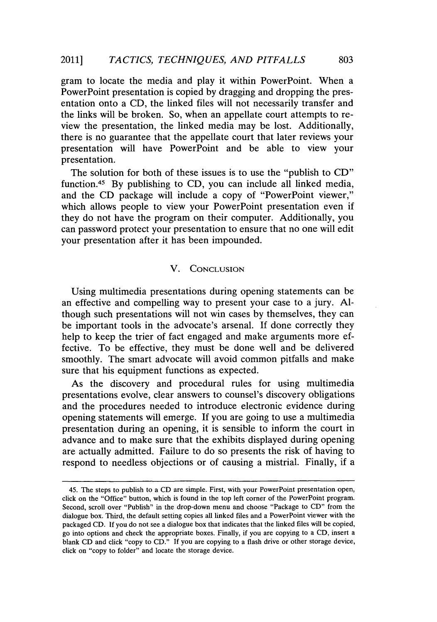gram to locate the media and play it within PowerPoint. When a PowerPoint presentation is copied **by** dragging and dropping the presentation onto a **CD,** the linked files will not necessarily transfer and the links will be broken. So, when an appellate court attempts to review the presentation, the linked media may be lost. Additionally, there is no guarantee that the appellate court that later reviews your presentation will have PowerPoint and be able to view your presentation.

The solution for both of these issues is to use the "publish to **CD"** function.45 **By** publishing to **CD,** you can include all linked media, and the **CD** package will include a copy of "PowerPoint viewer," which allows people to view your PowerPoint presentation even if they do not have the program on their computer. Additionally, you can password protect your presentation to ensure that no one will edit your presentation after it has been impounded.

## V. **CONCLUSION**

Using multimedia presentations during opening statements can be an effective and compelling way to present your case to a jury. **Al**though such presentations will not win cases **by** themselves, they can be important tools in the advocate's arsenal. **If** done correctly they help to keep the trier of fact engaged and make arguments more effective. To be effective, they must be done well and be delivered smoothly. The smart advocate will avoid common pitfalls and make sure that his equipment functions as expected.

As the discovery and procedural rules for using multimedia presentations evolve, clear answers to counsel's discovery obligations and the procedures needed to introduce electronic evidence during opening statements will emerge. **If** you are going to use a multimedia presentation during an opening, it is sensible to inform the court in advance and to make sure that the exhibits displayed during opening are actually admitted. Failure to do so presents the risk of having to respond to needless objections or of causing a mistrial. Finally, if a

<sup>45.</sup> The steps to publish to a **CD** are simple. First, with your PowerPoint presentation open, click on the "Office" button, which is found in the top left corner of the PowerPoint program. Second, scroll over "Publish" in the drop-down menu and choose "Package to **CD"** from the dialogue box. Third, the default setting copies all linked files and a PowerPoint viewer with the packaged **CD. If** you do not see a dialogue box that indicates that the linked files will be copied, go into options and check the appropriate boxes. Finally, if you are copying to a **CD,** insert a blank **CD** and click "copy to **CD." If** you are copying to a flash drive or other storage device, click on "copy to folder" and locate the storage device.